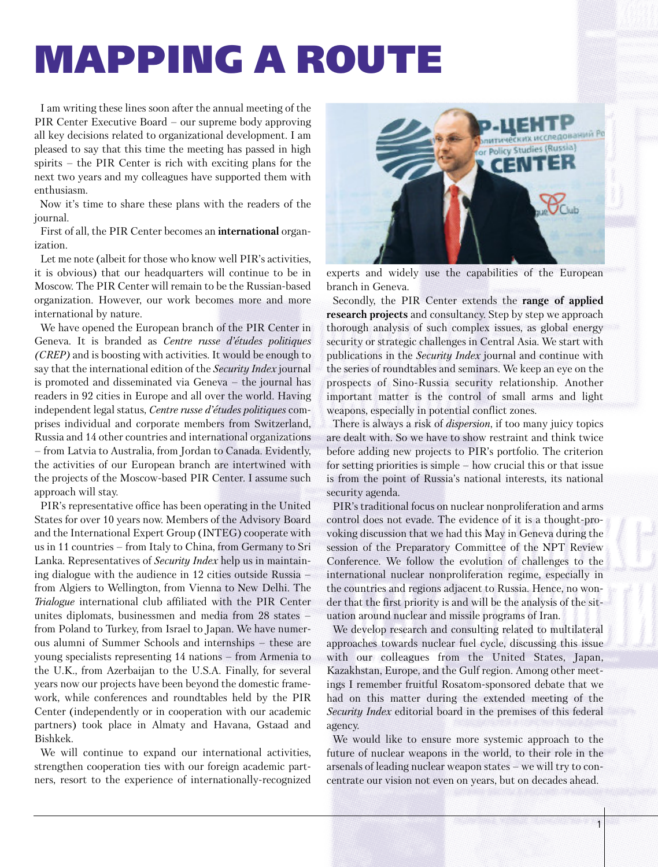## **MAPPING A ROUTE**

I am writing these lines soon after the annual meeting of the PIR Center Executive Board – our supreme body approving all key decisions related to organizational development. I am pleased to say that this time the meeting has passed in high spirits – the PIR Center is rich with exciting plans for the next two years and my colleagues have supported them with enthusiasm.

Now it's time to share these plans with the readers of the journal.

First of all, the PIR Center becomes an **international** organization.

Let me note (albeit for those who know well PIR's activities, it is obvious) that our headquarters will continue to be in Moscow. The PIR Center will remain to be the Russian-based organization. However, our work becomes more and more international by nature.

We have opened the European branch of the PIR Center in Geneva. It is branded as *Centre russe d'études politiques (CREP)* and is boosting with activities. It would be enough to say that the international edition of the *Security Index* journal is promoted and disseminated via Geneva – the journal has readers in 92 cities in Europe and all over the world. Having independent legal status, *Centre russe d'études politiques* comprises individual and corporate members from Switzerland, Russia and 14 other countries and international organizations – from Latvia to Australia, from Jordan to Canada. Evidently, the activities of our European branch are intertwined with the projects of the Moscow-based PIR Center. I assume such approach will stay.

PIR's representative office has been operating in the United States for over 10 years now. Members of the Advisory Board and the International Expert Group (INTEG) cooperate with us in 11 countries – from Italy to China, from Germany to Sri Lanka. Representatives of *Security Index* help us in maintaining dialogue with the audience in 12 cities outside Russia – from Algiers to Wellington, from Vienna to New Delhi. The *Trialogue* international club affiliated with the PIR Center unites diplomats, businessmen and media from 28 states – from Poland to Turkey, from Israel to Japan. We have numerous alumni of Summer Schools and internships – these are young specialists representing 14 nations – from Armenia to the U.K., from Azerbaijan to the U.S.A. Finally, for several years now our projects have been beyond the domestic framework, while conferences and roundtables held by the PIR Center (independently or in cooperation with our academic partners) took place in Almaty and Havana, Gstaad and Bishkek.

We will continue to expand our international activities, strengthen cooperation ties with our foreign academic partners, resort to the experience of internationally-recognized



experts and widely use the capabilities of the European branch in Geneva.

Secondly, the PIR Center extends the **range of applied research projects** and consultancy. Step by step we approach thorough analysis of such complex issues, as global energy security or strategic challenges in Central Asia. We start with publications in the *Security Index* journal and continue with the series of roundtables and seminars. We keep an eye on the prospects of Sino-Russia security relationship. Another important matter is the control of small arms and light weapons, especially in potential conflict zones.

There is always a risk of *dispersion*, if too many juicy topics are dealt with. So we have to show restraint and think twice before adding new projects to PIR's portfolio. The criterion for setting priorities is simple – how crucial this or that issue is from the point of Russia's national interests, its national security agenda.

PIR's traditional focus on nuclear nonproliferation and arms control does not evade. The evidence of it is a thought-provoking discussion that we had this May in Geneva during the session of the Preparatory Committee of the NPT Review Conference. We follow the evolution of challenges to the international nuclear nonproliferation regime, especially in the countries and regions adjacent to Russia. Hence, no wonder that the first priority is and will be the analysis of the situation around nuclear and missile programs of Iran.

We develop research and consulting related to multilateral approaches towards nuclear fuel cycle, discussing this issue with our colleagues from the United States, Japan, Kazakhstan, Europe, and the Gulf region. Among other meetings I remember fruitful Rosatom-sponsored debate that we had on this matter during the extended meeting of the *Security Index* editorial board in the premises of this federal agency.

We would like to ensure more systemic approach to the future of nuclear weapons in the world, to their role in the arsenals of leading nuclear weapon states – we will try to concentrate our vision not even on years, but on decades ahead.

1